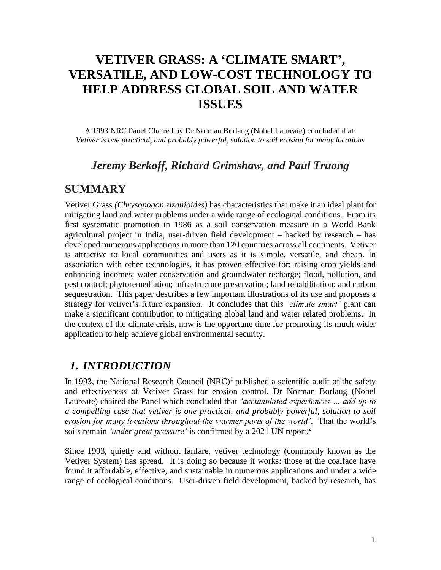# **VETIVER GRASS: A 'CLIMATE SMART' , VERSATILE, AND LOW-COST TECHNOLOGY TO HELP ADDRESS GLOBAL SOIL AND WATER ISSUES**

A 1993 NRC Panel Chaired by Dr Norman Borlaug (Nobel Laureate) concluded that: *Vetiver is one practical, and probably powerful, solution to soil erosion for many locations*

### *Jeremy Berkoff, Richard Grimshaw, and Paul Truong*

### **SUMMARY**

Vetiver Grass *(Chrysopogon zizanioides)* has characteristics that make it an ideal plant for mitigating land and water problems under a wide range of ecological conditions. From its first systematic promotion in 1986 as a soil conservation measure in a World Bank agricultural project in India, user-driven field development – backed by research – has developed numerous applications in more than 120 countries across all continents. Vetiver is attractive to local communities and users as it is simple, versatile, and cheap. In association with other technologies, it has proven effective for: raising crop yields and enhancing incomes; water conservation and groundwater recharge; flood, pollution, and pest control; phytoremediation; infrastructure preservation; land rehabilitation; and carbon sequestration. This paper describes a few important illustrations of its use and proposes a strategy for vetiver's future expansion. It concludes that this *'climate smart'* plant can make a significant contribution to mitigating global land and water related problems. In the context of the climate crisis, now is the opportune time for promoting its much wider application to help achieve global environmental security.

# *1. INTRODUCTION*

In 1993, the National Research Council  $(NRC)^1$  published a scientific audit of the safety and effectiveness of Vetiver Grass for erosion control. Dr Norman Borlaug (Nobel Laureate) chaired the Panel which concluded that *'accumulated experiences … add up to a compelling case that vetiver is one practical, and probably powerful, solution to soil erosion for many locations throughout the warmer parts of the world'*. That the world's soils remain *'under great pressure'* is confirmed by a 2021 UN report.<sup>2</sup>

Since 1993, quietly and without fanfare, vetiver technology (commonly known as the Vetiver System) has spread. It is doing so because it works: those at the coalface have found it affordable, effective, and sustainable in numerous applications and under a wide range of ecological conditions. User-driven field development, backed by research, has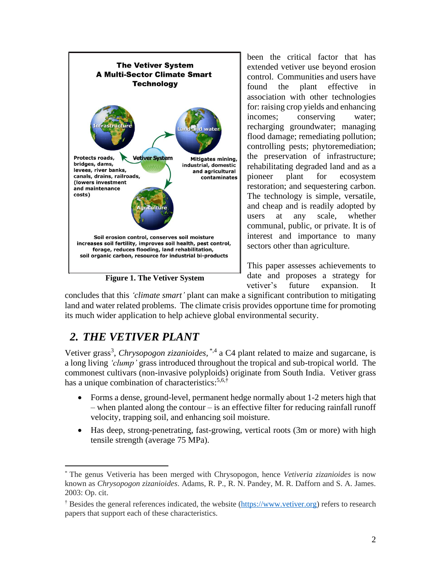

**Figure 1. The Vetiver System**

been the critical factor that has extended vetiver use beyond erosion control. Communities and users have found the plant effective in association with other technologies for: raising crop yields and enhancing incomes; conserving water; recharging groundwater; managing flood damage; remediating pollution; controlling pests; phytoremediation; the preservation of infrastructure; rehabilitating degraded land and as a pioneer plant for ecosystem restoration; and sequestering carbon. The technology is simple, versatile, and cheap and is readily adopted by users at any scale, whether communal, public, or private. It is of interest and importance to many sectors other than agriculture.

This paper assesses achievements to date and proposes a strategy for vetiver's future expansion. It

concludes that this *'climate smart'* plant can make a significant contribution to mitigating land and water related problems. The climate crisis provides opportune time for promoting its much wider application to help achieve global environmental security.

# *2. THE VETIVER PLANT*

Vetiver grass<sup>3</sup>, *Chrysopogon zizanioides*, \*,4 a C4 plant related to maize and sugarcane, is a long living *'clump'* grass introduced throughout the tropical and sub-tropical world. The commonest cultivars (non-invasive polyploids) originate from South India. Vetiver grass has a unique combination of characteristics:<sup>5,6,†</sup>

- Forms a dense, ground-level, permanent hedge normally about 1-2 meters high that – when planted along the contour – is an effective filter for reducing rainfall runoff velocity, trapping soil, and enhancing soil moisture.
- Has deep, strong-penetrating, fast-growing, vertical roots (3m or more) with high tensile strength (average 75 MPa).

<sup>\*</sup> The genus Vetiveria has been merged with Chrysopogon, hence *Vetiveria zizanioides* is now known as *Chrysopogon zizanioides*. Adams, R. P., R. N. Pandey, M. R. Dafforn and S. A. James. 2003: Op. cit.

<sup>†</sup> Besides the general references indicated, the website [\(https://www.vetiver.org\)](https://www.vetiver.org/) refers to research papers that support each of these characteristics.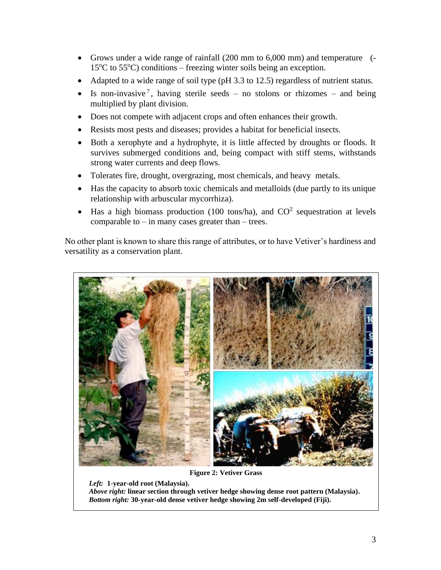- Grows under a wide range of rainfall (200 mm to 6,000 mm) and temperature (-  $15^{\circ}$ C to  $55^{\circ}$ C) conditions – freezing winter soils being an exception.
- Adapted to a wide range of soil type (pH 3.3 to 12.5) regardless of nutrient status.
- Is non-invasive<sup>7</sup>, having sterile seeds no stolons or rhizomes and being multiplied by plant division.
- Does not compete with adjacent crops and often enhances their growth.
- Resists most pests and diseases; provides a habitat for beneficial insects.
- Both a xerophyte and a hydrophyte, it is little affected by droughts or floods. It survives submerged conditions and, being compact with stiff stems, withstands strong water currents and deep flows.
- Tolerates fire, drought, overgrazing, most chemicals, and heavy metals.
- Has the capacity to absorb toxic chemicals and metalloids (due partly to its unique relationship with arbuscular mycorrhiza).
- Has a high biomass production (100 tons/ha), and  $CO<sup>2</sup>$  sequestration at levels comparable to  $-$  in many cases greater than  $-$  trees.

No other plant is known to share this range of attributes, or to have Vetiver's hardiness and versatility as a conservation plant.



**Figure 2: Vetiver Grass**

*Left:* **1-year-old root (Malaysia).** *Above right:* **linear section through vetiver hedge showing dense root pattern (Malaysia).**  *Bottom right:* **30-year-old dense vetiver hedge showing 2m self-developed (Fiji).**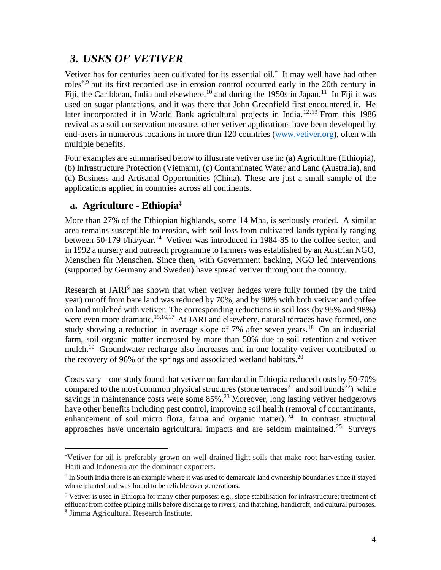### *3. USES OF VETIVER*

Vetiver has for centuries been cultivated for its essential oil. \* It may well have had other roles<sup>†,9</sup> but its first recorded use in erosion control occurred early in the 20th century in Fiji, the Caribbean, India and elsewhere,  $^{10}$  and during the 1950s in Japan. <sup>11</sup> In Fiji it was used on sugar plantations, and it was there that John Greenfield first encountered it. He later incorporated it in World Bank agricultural projects in India.<sup>12,13</sup> From this 1986 revival as a soil conservation measure, other vetiver applications have been developed by end-users in numerous locations in more than 120 countries [\(www.vetiver.org\)](http://www.vetiver.org/), often with multiple benefits.

Four examples are summarised below to illustrate vetiver use in: (a) Agriculture (Ethiopia), (b) Infrastructure Protection (Vietnam), (c) Contaminated Water and Land (Australia), and (d) Business and Artisanal Opportunities (China). These are just a small sample of the applications applied in countries across all continents.

#### **a. Agriculture - Ethiopia‡**

More than 27% of the Ethiopian highlands, some 14 Mha, is seriously eroded. A similar area remains susceptible to erosion, with soil loss from cultivated lands typically ranging between 50-179 t/ha/year.<sup>14</sup> Vetiver was introduced in 1984-85 to the coffee sector, and in 1992 a nursery and outreach programme to farmers was established by an Austrian NGO, Menschen für Menschen. Since then, with Government backing, NGO led interventions (supported by Germany and Sweden) have spread vetiver throughout the country.

Research at JARI<sup>§</sup> has shown that when vetiver hedges were fully formed (by the third year) runoff from bare land was reduced by 70%, and by 90% with both vetiver and coffee on land mulched with vetiver. The corresponding reductions in soil loss (by 95% and 98%) were even more dramatic.<sup>15,16,17</sup> At JARI and elsewhere, natural terraces have formed, one study showing a reduction in average slope of 7% after seven years.<sup>18</sup> On an industrial farm, soil organic matter increased by more than 50% due to soil retention and vetiver mulch.<sup>19</sup> Groundwater recharge also increases and in one locality vetiver contributed to the recovery of 96% of the springs and associated wetland habitats. $20$ 

Costs vary – one study found that vetiver on farmland in Ethiopia reduced costs by 50-70% compared to the most common physical structures (stone terraces<sup>21</sup> and soil bunds<sup>22</sup>) while savings in maintenance costs were some 85%.<sup>23</sup> Moreover, long lasting vetiver hedgerows have other benefits including pest control, improving soil health (removal of contaminants, enhancement of soil micro flora, fauna and organic matter).<sup>24</sup> In contrast structural approaches have uncertain agricultural impacts and are seldom maintained.<sup>25</sup> Surveys

<sup>\*</sup>Vetiver for oil is preferably grown on well-drained light soils that make root harvesting easier. Haiti and Indonesia are the dominant exporters.

<sup>†</sup> In South India there is an example where it was used to demarcate land ownership boundaries since it stayed where planted and was found to be reliable over generations.

<sup>‡</sup> Vetiver is used in Ethiopia for many other purposes: e.g., slope stabilisation for infrastructure; treatment of effluent from coffee pulping mills before discharge to rivers; and thatching, handicraft, and cultural purposes. § Jimma Agricultural Research Institute.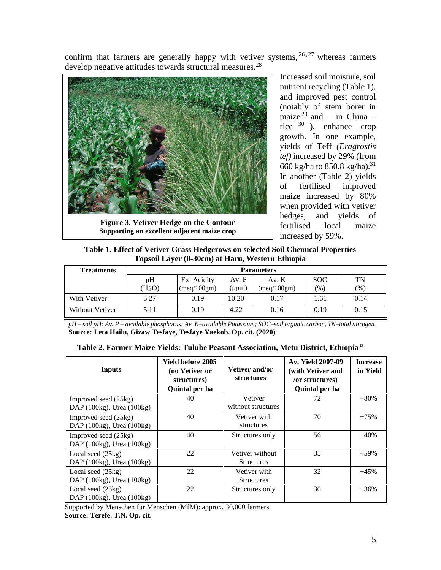confirm that farmers are generally happy with vetiver systems,  $26, 27$  whereas farmers develop negative attitudes towards structural measures.<sup>28</sup>



**Figure 3. Vetiver Hedge on the Contour Supporting an excellent adjacent maize crop**

Increased soil moisture, soil nutrient recycling (Table 1), and improved pest control (notably of stem borer in maize<sup>29</sup> and – in China – rice <sup>30</sup> ), enhance crop growth. In one example, yields of Teff *(Eragrostis tef)* increased by 29% (from 660 kg/ha to 850.8 kg/ha).<sup>31</sup> In another (Table 2) yields of fertilised improved maize increased by 80% when provided with vetiver hedges, and yields of fertilised local maize increased by 59%.

**Table 1. Effect of Vetiver Grass Hedgerows on selected Soil Chemical Properties Topsoil Layer (0-30cm) at Haru, Western Ethiopia**

| <b>Treatments</b>      | <b>Parameters</b> |             |       |                              |            |         |  |
|------------------------|-------------------|-------------|-------|------------------------------|------------|---------|--|
|                        | pH                | Ex. Acidity | Av. P | Av. $K$                      | <b>SOC</b> | TN      |  |
|                        | (H2O)             | (meq/100gm) | (ppm) | $(\text{meq}/100 \text{gm})$ | (% )       | $(\% )$ |  |
| With Vetiver           | 5.27              | 0.19        | 10.20 | 0.17                         | l.61       | 0.14    |  |
| <b>Without Vetiver</b> | 5.11              | 0.19        | 4.22  | 0.16                         | 0.19       | 0.15    |  |

*pH – soil pH: Av. P – available phosphorus: Av. K–available Potassium; SOC–soil organic carbon, TN–total nitrogen.* **Source: Leta Hailu, Gizaw Tesfaye, Tesfaye Yaekob. Op. cit. (2020)**

| <b>Inputs</b>                                     | Yield before 2005<br>(no Vetiver or<br>structures)<br>Quintal per ha | Vetiver and/or<br><b>structures</b>  | Av. Yield 2007-09<br>(with Vetiver and<br>/or structures)<br>Quintal per ha | <b>Increase</b><br>in Yield |
|---------------------------------------------------|----------------------------------------------------------------------|--------------------------------------|-----------------------------------------------------------------------------|-----------------------------|
| Improved seed (25kg)<br>DAP (100kg), Urea (100kg) | 40                                                                   | Vetiver<br>without structures        | 72                                                                          | $+80%$                      |
| Improved seed (25kg)<br>DAP (100kg), Urea (100kg) | 40                                                                   | Vetiver with<br>structures           | 70                                                                          | $+75%$                      |
| Improved seed (25kg)<br>DAP (100kg), Urea (100kg) | 40                                                                   | Structures only                      | 56                                                                          | $+40%$                      |
| Local seed (25kg)<br>DAP (100kg), Urea (100kg)    | 22                                                                   | Vetiver without<br><b>Structures</b> | 35                                                                          | $+59%$                      |
| Local seed (25kg)<br>DAP (100kg), Urea (100kg)    | 22                                                                   | Vetiver with<br><b>Structures</b>    | 32                                                                          | $+45%$                      |
| Local seed (25kg)<br>DAP (100kg), Urea (100kg)    | 22                                                                   | Structures only                      | 30                                                                          | $+36%$                      |

**Table 2. Farmer Maize Yields: Tulube Peasant Association, Metu District, Ethiopia<sup>32</sup>**

Supported by Menschen für Menschen (MfM): approx. 30,000 farmers

**Source: Terefe. T.N. Op. cit.**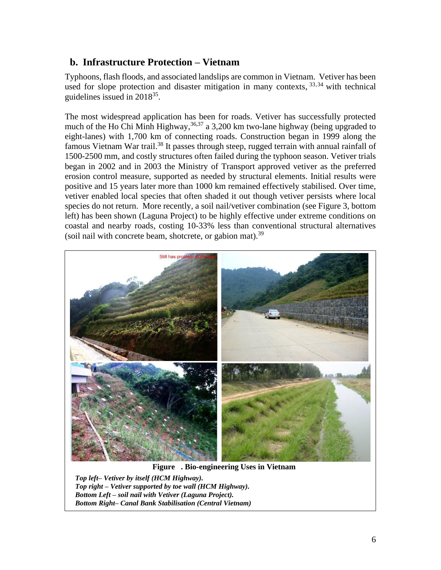#### **b. Infrastructure Protection – Vietnam**

Typhoons, flash floods, and associated landslips are common in Vietnam. Vetiver has been used for slope protection and disaster mitigation in many contexts,  $33,34$  with technical guidelines issued in  $2018^{35}$ .

The most widespread application has been for roads. Vetiver has successfully protected much of the Ho Chi Minh Highway,<sup>36,37</sup> a 3,200 km two-lane highway (being upgraded to eight-lanes) with 1,700 km of connecting roads. Construction began in 1999 along the famous Vietnam War trail.<sup>38</sup> It passes through steep, rugged terrain with annual rainfall of 1500-2500 mm, and costly structures often failed during the typhoon season. Vetiver trials began in 2002 and in 2003 the Ministry of Transport approved vetiver as the preferred erosion control measure, supported as needed by structural elements. Initial results were positive and 15 years later more than 1000 km remained effectively stabilised. Over time, vetiver enabled local species that often shaded it out though vetiver persists where local species do not return. More recently, a soil nail/vetiver combination (see Figure 3, bottom left) has been shown (Laguna Project) to be highly effective under extreme conditions on coastal and nearby roads, costing 10-33% less than conventional structural alternatives (soil nail with concrete beam, shotcrete, or gabion mat).<sup>39</sup>



**Figure 4. Bio-engineering Uses in Vietnam**

*Top left– Vetiver by itself (HCM Highway). Top right – Vetiver supported by toe wall (HCM Highway). Bottom Left – soil nail with Vetiver (Laguna Project). Bottom Right– Canal Bank Stabilisation (Central Vietnam)*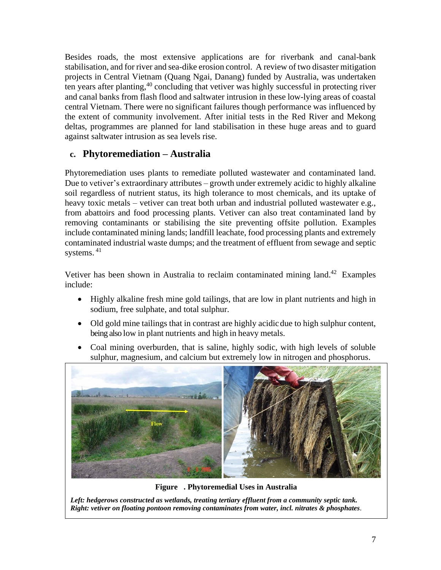Besides roads, the most extensive applications are for riverbank and canal-bank stabilisation, and for river and sea-dike erosion control. A review of two disaster mitigation projects in Central Vietnam (Quang Ngai, Danang) funded by Australia, was undertaken ten years after planting, <sup>40</sup> concluding that vetiver was highly successful in protecting river and canal banks from flash flood and saltwater intrusion in these low-lying areas of coastal central Vietnam. There were no significant failures though performance was influenced by the extent of community involvement. After initial tests in the Red River and Mekong deltas, programmes are planned for land stabilisation in these huge areas and to guard against saltwater intrusion as sea levels rise.

### **c. Phytoremediation – Australia**

Phytoremediation uses plants to remediate polluted wastewater and contaminated land. Due to vetiver's extraordinary attributes – growth under extremely acidic to highly alkaline soil regardless of nutrient status, its high tolerance to most chemicals, and its uptake of heavy toxic metals – vetiver can treat both urban and industrial polluted wastewater e.g., from abattoirs and food processing plants. Vetiver can also treat contaminated land by removing contaminants or stabilising the site preventing offsite pollution. Examples include contaminated mining lands; landfill leachate, food processing plants and extremely contaminated industrial waste dumps; and the treatment of effluent from sewage and septic systems. 41

Vetiver has been shown in Australia to reclaim contaminated mining land.<sup>42</sup> Examples include:

- Highly alkaline fresh mine gold tailings, that are low in plant nutrients and high in sodium, free sulphate, and total sulphur.
- Old gold mine tailings that in contrast are highly acidic due to high sulphur content, being also low in plant nutrients and high in heavy metals.
- Coal mining overburden, that is saline, highly sodic, with high levels of soluble sulphur, magnesium, and calcium but extremely low in nitrogen and phosphorus.



**Figure 5. Phytoremedial Uses in Australia**

*Left: hedgerows constructed as wetlands, treating tertiary effluent from a community septic tank. Right: vetiver on floating pontoon removing contaminates from water, incl. nitrates & phosphates.*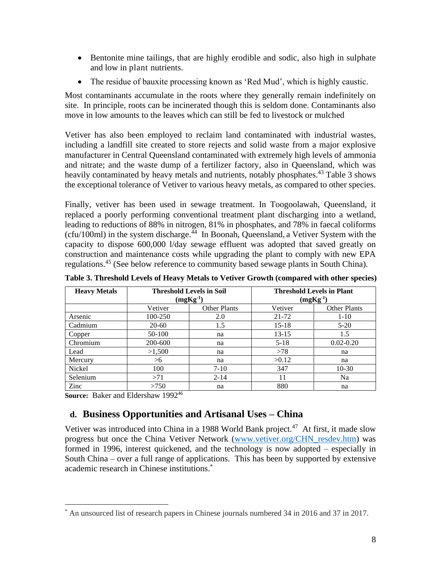- Bentonite mine tailings, that are highly erodible and sodic, also high in sulphate and low in plant nutrients.
- The residue of bauxite processing known as 'Red Mud', which is highly caustic.

Most contaminants accumulate in the roots where they generally remain indefinitely on site. In principle, roots can be incinerated though this is seldom done. Contaminants also move in low amounts to the leaves which can still be fed to livestock or mulched

Vetiver has also been employed to reclaim land contaminated with industrial wastes, including a landfill site created to store rejects and solid waste from a major explosive manufacturer in Central Queensland contaminated with extremely high levels of ammonia and nitrate; and the waste dump of a fertilizer factory, also in Queensland, which was heavily contaminated by heavy metals and nutrients, notably phosphates.<sup>43</sup> Table 3 shows the exceptional tolerance of Vetiver to various heavy metals, as compared to other species.

Finally, vetiver has been used in sewage treatment. In Toogoolawah, Queensland, it replaced a poorly performing conventional treatment plant discharging into a wetland, leading to reductions of 88% in nitrogen, 81% in phosphates, and 78% in faecal coliforms (cfu/100ml) in the system discharge. <sup>44</sup> In Boonah, Queensland, a Vetiver System with the capacity to dispose 600,000 l/day sewage effluent was adopted that saved greatly on construction and maintenance costs while upgrading the plant to comply with new EPA regulations.<sup>45</sup> (See below reference to community based sewage plants in South China).

| <b>Heavy Metals</b> | <b>Threshold Levels in Soil</b><br>$(mgKg^{-1})$ |                     | <b>Threshold Levels in Plant</b><br>$(mgKg-1)$ |                     |  |
|---------------------|--------------------------------------------------|---------------------|------------------------------------------------|---------------------|--|
|                     | Vetiver                                          | <b>Other Plants</b> | Vetiver                                        | <b>Other Plants</b> |  |
| Arsenic             | 100-250                                          | 2.0                 | 21-72                                          | $1 - 10$            |  |
| Cadmium             | $20-60$                                          | 1.5                 | $15 - 18$                                      | $5 - 20$            |  |
| Copper              | 50-100                                           | na                  | $13 - 15$                                      | 1.5                 |  |
| Chromium            | 200-600                                          | na                  | $5 - 18$                                       | $0.02 - 0.20$       |  |
| Lead                | >1,500                                           | na                  | >78                                            | na                  |  |
| Mercury             | >6                                               | na                  | >0.12                                          | na                  |  |
| Nickel              | 100                                              | $7-10$              | 347                                            | $10-30$             |  |
| Selenium            | >71                                              | $2 - 14$            | 11                                             | Na                  |  |
| Zinc                | >750                                             | na                  | 880                                            | na                  |  |

**Table 3. Threshold Levels of Heavy Metals to Vetiver Growth (compared with other species)**

**Source: Baker and Eldershaw 1992<sup>46</sup>** 

#### **d. Business Opportunities and Artisanal Uses – China**

Vetiver was introduced into China in a 1988 World Bank project.<sup>47</sup> At first, it made slow progress but once the China Vetiver Network [\(www.vetiver.org/CHN\\_resdev.htm\)](http://www.vetiver.org/CHN_resdev.htm) was formed in 1996, interest quickened, and the technology is now adopted – especially in South China – over a full range of applications. This has been by supported by extensive academic research in Chinese institutions. \*

<sup>\*</sup> An unsourced list of research papers in Chinese journals numbered 34 in 2016 and 37 in 2017.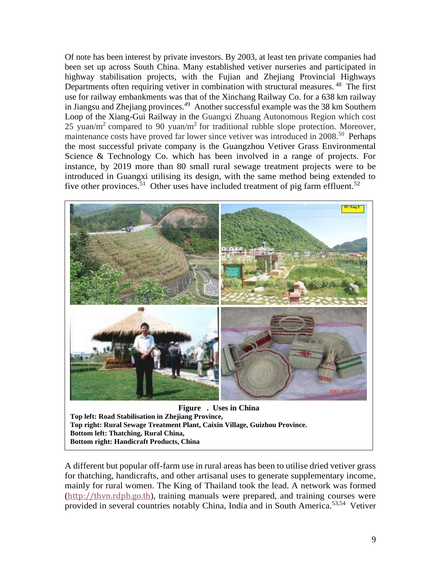Of note has been interest by private investors. By 2003, at least ten private companies had been set up across South China. Many established vetiver nurseries and participated in highway stabilisation projects, with the Fujian and Zhejiang Provincial Highways Departments often requiring vetiver in combination with structural measures.<sup>48</sup> The first use for railway embankments was that of the Xinchang Railway Co. for a 638 km railway in Jiangsu and Zhejiang provinces.<sup>49</sup> Another successful example was the 38 km Southern Loop of the Xiang-Gui Railway in the Guangxi Zhuang Autonomous Region which cost 25 yuan/m<sup>2</sup> compared to 90 yuan/m<sup>2</sup> for traditional rubble slope protection. Moreover, maintenance costs have proved far lower since vetiver was introduced in 2008.<sup>50</sup> Perhaps the most successful private company is the Guangzhou Vetiver Grass Environmental Science & Technology Co. which has been involved in a range of projects. For instance, by 2019 more than 80 small rural sewage treatment projects were to be introduced in Guangxi utilising its design, with the same method being extended to five other provinces.<sup>51</sup> Other uses have included treatment of pig farm effluent.<sup>52</sup>



**Figure . Uses in China Top left: Road Stabilisation in Zhejiang Province, Top right: Rural Sewage Treatment Plant, Caixin Village, Guizhou Province. Bottom left: Thatching, Rural China, Bottom right: Handicraft Products, China**

A different but popular off-farm use in rural areas has been to utilise dried vetiver grass for thatching, handicrafts, and other artisanal uses to generate supplementary income, mainly for rural women. The King of Thailand took the lead. A network was formed ([http://thvn.rdpb.go.th](http://thvn.rdpb.go.th/)), training manuals were prepared, and training courses were provided in several countries notably China, India and in South America.53,54 Vetiver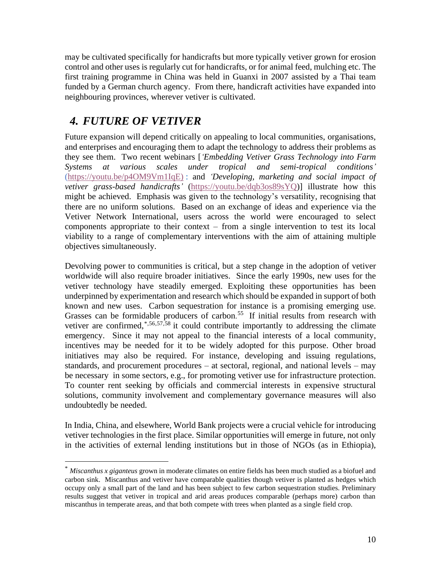may be cultivated specifically for handicrafts but more typically vetiver grown for erosion control and other uses is regularly cut for handicrafts, or for animal feed, mulching etc. The first training programme in China was held in Guanxi in 2007 assisted by a Thai team funded by a German church agency. From there, handicraft activities have expanded into neighbouring provinces, wherever vetiver is cultivated.

## *4. FUTURE OF VETIVER*

Future expansion will depend critically on appealing to local communities, organisations, and enterprises and encouraging them to adapt the technology to address their problems as they see them. Two recent webinars [*'Embedding Vetiver Grass Technology into Farm Systems at various scales under tropical and semi-tropical conditions'*  [\(https://youtu.be/p4OM9Vm1IqE\)](https://youtu.be/p4OM9Vm1IqE) ) : and *'Developing, marketing and social impact of vetiver grass-based handicrafts'* [\(https://youtu.be/dqb3os89sYQ\)](https://youtu.be/dqb3os89sYQ)] illustrate how this might be achieved. Emphasis was given to the technology's versatility, recognising that there are no uniform solutions. Based on an exchange of ideas and experience via the Vetiver Network International, users across the world were encouraged to select components appropriate to their context – from a single intervention to test its local viability to a range of complementary interventions with the aim of attaining multiple objectives simultaneously.

Devolving power to communities is critical, but a step change in the adoption of vetiver worldwide will also require broader initiatives. Since the early 1990s, new uses for the vetiver technology have steadily emerged. Exploiting these opportunities has been underpinned by experimentation and research which should be expanded in support of both known and new uses. Carbon sequestration for instance is a promising emerging use. Grasses can be formidable producers of carbon.<sup>55</sup> If initial results from research with vetiver are confirmed,<sup>\*,56,57,58</sup> it could contribute importantly to addressing the climate emergency. Since it may not appeal to the financial interests of a local community, incentives may be needed for it to be widely adopted for this purpose. Other broad initiatives may also be required. For instance, developing and issuing regulations, standards, and procurement procedures – at sectoral, regional, and national levels – may be necessary in some sectors, e.g., for promoting vetiver use for infrastructure protection. To counter rent seeking by officials and commercial interests in expensive structural solutions, community involvement and complementary governance measures will also undoubtedly be needed.

In India, China, and elsewhere, World Bank projects were a crucial vehicle for introducing vetiver technologies in the first place. Similar opportunities will emerge in future, not only in the activities of external lending institutions but in those of NGOs (as in Ethiopia),

<sup>\*</sup> *Miscanthus x giganteus* grown in moderate climates on entire fields has been much studied as a biofuel and carbon sink. Miscanthus and vetiver have comparable qualities though vetiver is planted as hedges which occupy only a small part of the land and has been subject to few carbon sequestration studies. Preliminary results suggest that vetiver in tropical and arid areas produces comparable (perhaps more) carbon than miscanthus in temperate areas, and that both compete with trees when planted as a single field crop.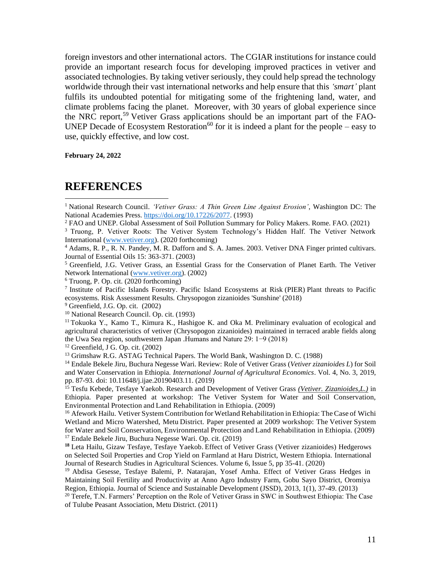foreign investors and other international actors. The CGIAR institutions for instance could provide an important research focus for developing improved practices in vetiver and associated technologies. By taking vetiver seriously, they could help spread the technology worldwide through their vast international networks and help ensure that this *'smart'* plant fulfils its undoubted potential for mitigating some of the frightening land, water, and climate problems facing the planet. Moreover, with 30 years of global experience since the NRC report,<sup>59</sup> Vetiver Grass applications should be an important part of the FAO-UNEP Decade of Ecosystem Restoration<sup>60</sup> for it is indeed a plant for the people – easy to use, quickly effective, and low cost.

**February 24, 2022**

#### **REFERENCES**

<sup>2</sup> FAO and UNEP. Global Assessment of Soil Pollution Summary for Policy Makers. Rome. FAO. (2021)

<sup>3</sup> Truong, P. Vetiver Roots: The Vetiver System Technology's Hidden Half. The Vetiver Network International [\(www.vetiver.org\)](http://www.vetiver.org/). (2020 forthcoming)

 $12$  Greenfield, J G. Op. cit. (2002)

<sup>15</sup> Tesfu Kebede, Tesfaye Yaekob. Research and Development of Vetiver Grass *(Vetiver. Zizanioides,L.)* in Ethiopia. Paper presented at workshop: The Vetiver System for Water and Soil Conservation, Environmental Protection and Land Rehabilitation in Ethiopia. (2009)

<sup>16</sup> Afework Hailu. Vetiver System Contribution for Wetland Rehabilitation in Ethiopia: The Case of Wichi Wetland and Micro Watershed, Metu District. Paper presented at 2009 workshop: The Vetiver System for Water and Soil Conservation, Environmental Protection and Land Rehabilitation in Ethiopia. (2009) <sup>17</sup> Endale Bekele Jiru, Buchura Negesse Wari. Op. cit. (2019)

**<sup>18</sup>** Leta Hailu, Gizaw Tesfaye, Tesfaye Yaekob. Effect of Vetiver Grass (Vetiver zizanioides) Hedgerows on Selected Soil Properties and Crop Yield on Farmland at Haru District, Western Ethiopia. International Journal of Research Studies in Agricultural Sciences. Volume 6, Issue 5, pp 35-41. (2020)

<sup>19</sup> Abdisa Gesesse, Tesfaye Balemi, P. Natarajan, Yosef Amha. Effect of Vetiver Grass Hedges in Maintaining Soil Fertility and Productivity at Anno Agro Industry Farm, Gobu Sayo District, Oromiya Region, Ethiopia. Journal of Science and Sustainable Development (JSSD), 2013, 1(1), 37-49. (2013)

 $20$  Terefe, T.N. Farmers' Perception on the Role of Vetiver Grass in SWC in Southwest Ethiopia: The Case of Tulube Peasant Association, Metu District. (2011)

<sup>1</sup> National Research Council. *'Vetiver Grass: A Thin Green Line Against Erosion'*, Washington DC: The National Academies Press. [https://doi.org/10.17226/2077.](https://doi.org/10.17226/2077) (1993)

<sup>4</sup> Adams, R. P., R. N. Pandey, M. R. Dafforn and S. A. James. 2003. Vetiver DNA Finger printed cultivars. Journal of Essential Oils 15: 363-371. (2003)

<sup>5</sup> Greenfield, J.G. Vetiver Grass, an Essential Grass for the Conservation of Planet Earth. The Vetiver Network International [\(www.vetiver.org\)](http://www.vetiver.org/). (2002)

<sup>6</sup> Truong, P. Op. cit. (2020 forthcoming)

<sup>7</sup> Institute of Pacific Islands Forestry. Pacific Island Ecosystems at Risk (PIER) Plant threats to Pacific ecosystems. Risk Assessment Results. Chrysopogon zizanioides 'Sunshine' (2018)

<sup>&</sup>lt;sup>9</sup> Greenfield, J.G. Op. cit. (2002)

<sup>10</sup> National Research Council. Op. cit. (1993)

<sup>11</sup> Tokuoka Y., Kamo T., Kimura K., Hashigoe K. and Oka M. Preliminary evaluation of ecological and agricultural characteristics of vetiver (Chrysopogon zizanioides) maintained in terraced arable fields along the Uwa Sea region, southwestern Japan .Humans and Nature 29: 1−9 (2018)

<sup>&</sup>lt;sup>13</sup> Grimshaw R.G. ASTAG Technical Papers. The World Bank, Washington D. C. (1988)

<sup>14</sup> Endale Bekele Jiru, Buchura Negesse Wari. Review: Role of Vetiver Grass (*Vetiver zizanioides L*) for Soil and Water Conservation in Ethiopia. *International Journal of Agricultural Economics*. Vol. 4, No. 3, 2019, pp. 87-93. doi: 10.11648/j.ijae.20190403.11. (2019)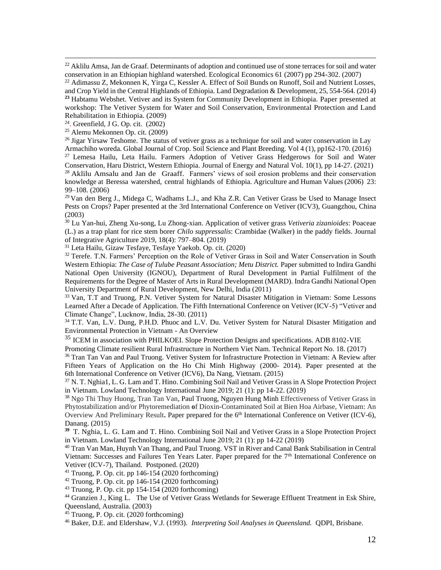<sup>22</sup> Aklilu Amsa, Jan de Graaf. Determinants of adoption and continued use of stone terraces for soil and water conservation in an Ethiopian highland watershed. Ecological Economics 61 (2007) pp 294-302. (2007)

<sup>22</sup> Adimassu Z, Mekonnen K, Yirga C, Kessler A. Effect of Soil Bunds on Runoff, Soil and Nutrient Losses, and Crop Yield in the Central Highlands of Ethiopia. Land Degradation & Development, 25, 554-564. (2014) **<sup>23</sup>** Habtamu Webshet. Vetiver and its System for Community Development in Ethiopia. Paper presented at workshop: The Vetiver System for Water and Soil Conservation, Environmental Protection and Land Rehabilitation in Ethiopia. (2009)

 $24$ . Greenfield, J G. Op. cit. (2002)

<sup>26</sup> Jigar Yirsaw Teshome. The status of vetiver grass as a technique for soil and water conservation in Lay Armachiho woreda. Global Journal of Crop. Soil Science and Plant Breeding. Vol 4 (1), pp162-170. (2016)

<sup>27</sup> Lemesa Hailu, Leta Hailu. Farmers Adoption of Vetiver Grass Hedgerows for Soil and Water Conservation, Haru District, Western Ethiopia. Journal of Energy and Natural Vol. 10(1), pp 14-27. (2021)  $^{28}$  Aklilu Amsalu and Jan de Graaff. Farmers' views of soil erosion problems and their conservation knowledge at Beressa watershed, central highlands of Ethiopia. Agriculture and Human Values (2006) 23: 99–108. (2006)

<sup>29</sup> Van den Berg J., Midega C, Wadhams L.J., and Kha Z.R. Can Vetiver Grass be Used to Manage Insect Pests on Crops? Paper presented at the 3rd International Conference on Vetiver (ICV3), Guangzhou, China (2003)

<sup>30</sup> Lu Yan-hui, Zheng Xu-song, Lu Zhong-xian. Application of vetiver grass *Vetiveria zizanioides*: Poaceae (L.) as a trap plant for rice stem borer *Chilo suppressalis*: Crambidae (Walker) in the paddy fields. Journal of Integrative Agriculture 2019, 18(4): 797–804. (2019)

<sup>31</sup> Leta Hailu, Gizaw Tesfaye, Tesfaye Yaekob. Op. cit. (2020)

<sup>32</sup> Terefe. T.N. Farmers' Perception on the Role of Vetiver Grass in Soil and Water Conservation in South Western Ethiopia: *The Case of Tulube Peasant Association; Metu District.* Paper submitted to Indira Gandhi National Open University (IGNOU), Department of Rural Development in Partial Fulfilment of the Requirements for the Degree of Master of Arts in Rural Development (MARD). Indra Gandhi National Open University Department of Rural Development, New Delhi, India (2011)

<sup>33</sup> Van, T.T and Truong, P.N. Vetiver System for Natural Disaster Mitigation in Vietnam: Some Lessons Learned After a Decade of Application. The Fifth International Conference on Vetiver (ICV-5) "Vetiver and Climate Change", Lucknow, India, 28-30. (2011)

<sup>34</sup> T.T. Van, L.V. Dung, P.H.D. Phuoc and L.V. Du. Vetiver System for Natural Disaster Mitigation and Environmental Protection in Vietnam - An Overview

<sup>35</sup> ICEM in association with PHILKOEI. Slope Protection Designs and specifications. ADB 8102-VIE

Promoting Climate resilient Rural Infrastructure in Northern Viet Nam. Technical Report No. 18. (2017)

<sup>36</sup> Tran Tan Van and Paul Truong. Vetiver System for Infrastructure Protection in Vietnam: A Review after Fifteen Years of Application on the Ho Chi Minh Highway (2000- 2014). Paper presented at the 6th International Conference on Vetiver (ICV6), Da Nang, Vietnam. (2015)

<sup>37</sup> N. T. Nghia1, L. G. Lam and T. Hino. Combining Soil Nail and Vetiver Grass in A Slope Protection Project in Vietnam. Lowland Technology International June 2019; 21 (1): pp 14-22. (2019)

<sup>38</sup> Ngo Thi Thuy Huong, Tran Tan Van, Paul Truong, Nguyen Hung Minh Effectiveness of Vetiver Grass in Phytostabilization and/or Phytoremediation **o**f Dioxin-Contaminated Soil at Bien Hoa Airbase, Vietnam: An Overview And Preliminary Result. Paper prepared for the 6<sup>th</sup> International Conference on Vetiver (ICV-6), Danang. (2015)

**<sup>39</sup>** T. Nghia, L. G. Lam and T. Hino. Combining Soil Nail and Vetiver Grass in a Slope Protection Project in Vietnam. Lowland Technology International June 2019; 21 (1): pp 14-22 (2019)

<sup>40</sup> Tran Van Man, Huynh Van Thang, and Paul Truong. VST in River and Canal Bank Stabilisation in Central Vietnam: Successes and Failures Ten Years Later. Paper prepared for the 7<sup>th</sup> International Conference on Vetiver (ICV-7), Thailand. Postponed. (2020)

 $41$  Truong, P. Op. cit. pp 146-154 (2020 forthcoming)

 $42$  Truong, P. Op. cit. pp 146-154 (2020 forthcoming)

<sup>43</sup> Truong, P. Op. cit. pp 154-154 (2020 forthcoming)

<sup>44</sup> Granzien J., King L. The Use of Vetiver Grass Wetlands for Sewerage Effluent Treatment in Esk Shire, Queensland, Australia. (2003)

<sup>45</sup> Truong, P. Op. cit. (2020 forthcoming)

<sup>46</sup> Baker, D.E. and Eldershaw, V.J. (1993). *Interpreting Soil Analyses in Queensland.* QDPI, Brisbane.

<sup>25</sup> Alemu Mekonnen Op. cit. (2009)